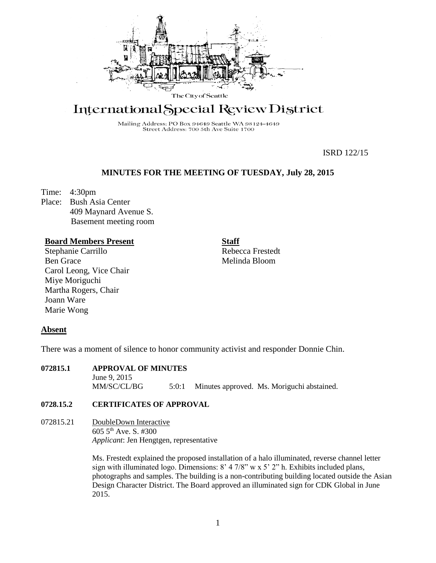

# International Special Review District

Mailing Address: PO Box 94649 Seattle WA 98124-4649<br>Street Address: 700 5th Ave Suite 1700

ISRD 122/15

# **MINUTES FOR THE MEETING OF TUESDAY, July 28, 2015**

Time: 4:30pm

Place: Bush Asia Center 409 Maynard Avenue S. Basement meeting room

## **Board Members Present**

Stephanie Carrillo Ben Grace Carol Leong, Vice Chair Miye Moriguchi Martha Rogers, Chair Joann Ware Marie Wong

**Staff**

Rebecca Frestedt Melinda Bloom

## **Absent**

There was a moment of silence to honor community activist and responder Donnie Chin.

**072815.1 APPROVAL OF MINUTES** June 9, 2015 MM/SC/CL/BG 5:0:1 Minutes approved. Ms. Moriguchi abstained.

## **0728.15.2 CERTIFICATES OF APPROVAL**

072815.21 DoubleDown Interactive 605 5th Ave. S. #300 *Applicant*: Jen Hengtgen, representative

> Ms. Frestedt explained the proposed installation of a halo illuminated, reverse channel letter sign with illuminated logo. Dimensions: 8' 4 7/8" w x 5' 2" h. Exhibits included plans, photographs and samples. The building is a non-contributing building located outside the Asian Design Character District. The Board approved an illuminated sign for CDK Global in June 2015.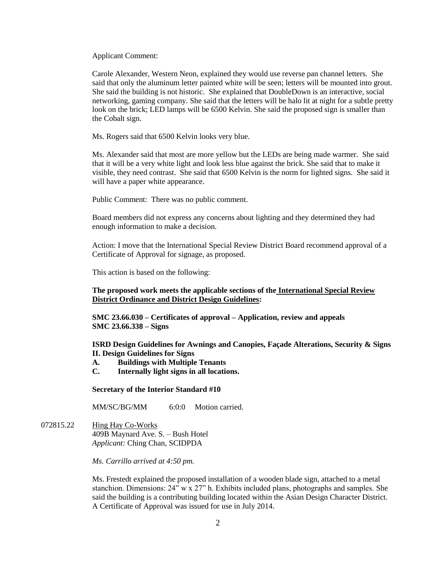Applicant Comment:

Carole Alexander, Western Neon, explained they would use reverse pan channel letters. She said that only the aluminum letter painted white will be seen; letters will be mounted into grout. She said the building is not historic. She explained that DoubleDown is an interactive, social networking, gaming company. She said that the letters will be halo lit at night for a subtle pretty look on the brick; LED lamps will be 6500 Kelvin. She said the proposed sign is smaller than the Cobalt sign.

Ms. Rogers said that 6500 Kelvin looks very blue.

Ms. Alexander said that most are more yellow but the LEDs are being made warmer. She said that it will be a very white light and look less blue against the brick. She said that to make it visible, they need contrast. She said that 6500 Kelvin is the norm for lighted signs. She said it will have a paper white appearance.

Public Comment: There was no public comment.

Board members did not express any concerns about lighting and they determined they had enough information to make a decision.

Action: I move that the International Special Review District Board recommend approval of a Certificate of Approval for signage, as proposed.

This action is based on the following:

#### **The proposed work meets the applicable sections of the International Special Review District Ordinance and District Design Guidelines:**

**SMC 23.66.030 – Certificates of approval – Application, review and appeals SMC 23.66.338 – Signs**

**ISRD Design Guidelines for Awnings and Canopies, Façade Alterations, Security & Signs II. Design Guidelines for Signs**

- **A. Buildings with Multiple Tenants**
- **C. Internally light signs in all locations.**

**Secretary of the Interior Standard #10**

MM/SC/BG/MM 6:0:0 Motion carried.

072815.22 Hing Hay Co-Works 409B Maynard Ave. S. – Bush Hotel *Applicant:* Ching Chan, SCIDPDA

*Ms. Carrillo arrived at 4:50 pm.*

Ms. Frestedt explained the proposed installation of a wooden blade sign, attached to a metal stanchion. Dimensions: 24" w x 27" h. Exhibits included plans, photographs and samples. She said the building is a contributing building located within the Asian Design Character District. A Certificate of Approval was issued for use in July 2014.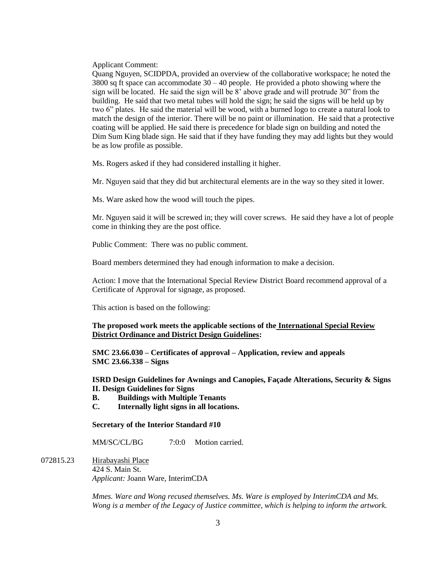Applicant Comment:

Quang Nguyen, SCIDPDA, provided an overview of the collaborative workspace; he noted the  $3800$  sq ft space can accommodate  $30 - 40$  people. He provided a photo showing where the sign will be located. He said the sign will be 8' above grade and will protrude 30" from the building. He said that two metal tubes will hold the sign; he said the signs will be held up by two 6" plates. He said the material will be wood, with a burned logo to create a natural look to match the design of the interior. There will be no paint or illumination. He said that a protective coating will be applied. He said there is precedence for blade sign on building and noted the Dim Sum King blade sign. He said that if they have funding they may add lights but they would be as low profile as possible.

Ms. Rogers asked if they had considered installing it higher.

Mr. Nguyen said that they did but architectural elements are in the way so they sited it lower.

Ms. Ware asked how the wood will touch the pipes.

Mr. Nguyen said it will be screwed in; they will cover screws. He said they have a lot of people come in thinking they are the post office.

Public Comment: There was no public comment.

Board members determined they had enough information to make a decision.

Action: I move that the International Special Review District Board recommend approval of a Certificate of Approval for signage, as proposed.

This action is based on the following:

#### **The proposed work meets the applicable sections of the International Special Review District Ordinance and District Design Guidelines:**

**SMC 23.66.030 – Certificates of approval – Application, review and appeals SMC 23.66.338 – Signs**

**ISRD Design Guidelines for Awnings and Canopies, Façade Alterations, Security & Signs II. Design Guidelines for Signs**

- **B. Buildings with Multiple Tenants**
- **C. Internally light signs in all locations.**

#### **Secretary of the Interior Standard #10**

MM/SC/CL/BG 7:0:0 Motion carried.

072815.23 Hirabayashi Place 424 S. Main St. *Applicant:* Joann Ware, InterimCDA

> *Mmes. Ware and Wong recused themselves. Ms. Ware is employed by InterimCDA and Ms. Wong is a member of the Legacy of Justice committee, which is helping to inform the artwork.*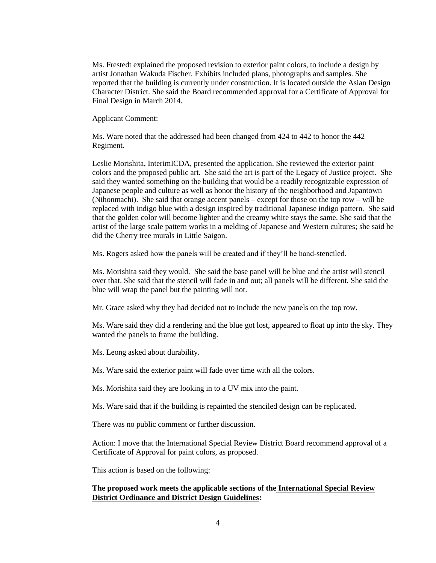Ms. Frestedt explained the proposed revision to exterior paint colors, to include a design by artist Jonathan Wakuda Fischer. Exhibits included plans, photographs and samples. She reported that the building is currently under construction. It is located outside the Asian Design Character District. She said the Board recommended approval for a Certificate of Approval for Final Design in March 2014.

Applicant Comment:

Ms. Ware noted that the addressed had been changed from 424 to 442 to honor the 442 Regiment.

Leslie Morishita, InterimICDA, presented the application. She reviewed the exterior paint colors and the proposed public art. She said the art is part of the Legacy of Justice project. She said they wanted something on the building that would be a readily recognizable expression of Japanese people and culture as well as honor the history of the neighborhood and Japantown (Nihonmachi). She said that orange accent panels – except for those on the top row – will be replaced with indigo blue with a design inspired by traditional Japanese indigo pattern. She said that the golden color will become lighter and the creamy white stays the same. She said that the artist of the large scale pattern works in a melding of Japanese and Western cultures; she said he did the Cherry tree murals in Little Saigon.

Ms. Rogers asked how the panels will be created and if they'll be hand-stenciled.

Ms. Morishita said they would. She said the base panel will be blue and the artist will stencil over that. She said that the stencil will fade in and out; all panels will be different. She said the blue will wrap the panel but the painting will not.

Mr. Grace asked why they had decided not to include the new panels on the top row.

Ms. Ware said they did a rendering and the blue got lost, appeared to float up into the sky. They wanted the panels to frame the building.

Ms. Leong asked about durability.

Ms. Ware said the exterior paint will fade over time with all the colors.

Ms. Morishita said they are looking in to a UV mix into the paint.

Ms. Ware said that if the building is repainted the stenciled design can be replicated.

There was no public comment or further discussion.

Action: I move that the International Special Review District Board recommend approval of a Certificate of Approval for paint colors, as proposed.

This action is based on the following:

## **The proposed work meets the applicable sections of the International Special Review District Ordinance and District Design Guidelines:**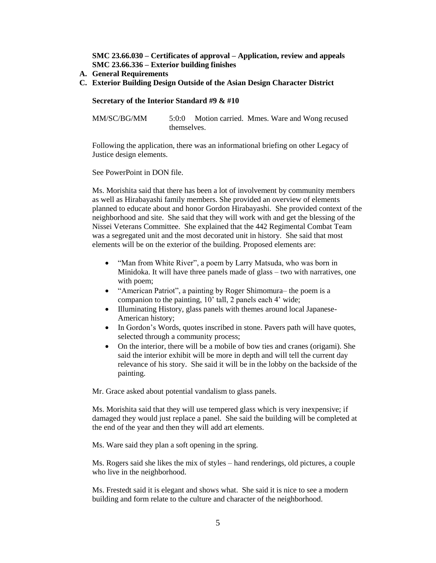**SMC 23.66.030 – Certificates of approval – Application, review and appeals SMC 23.66.336 – Exterior building finishes**

- **A. General Requirements**
- **C. Exterior Building Design Outside of the Asian Design Character District**

#### **Secretary of the Interior Standard #9 & #10**

MM/SC/BG/MM 5:0:0 Motion carried. Mmes. Ware and Wong recused themselves.

Following the application, there was an informational briefing on other Legacy of Justice design elements.

See PowerPoint in DON file.

Ms. Morishita said that there has been a lot of involvement by community members as well as Hirabayashi family members. She provided an overview of elements planned to educate about and honor Gordon Hirabayashi. She provided context of the neighborhood and site. She said that they will work with and get the blessing of the Nissei Veterans Committee. She explained that the 442 Regimental Combat Team was a segregated unit and the most decorated unit in history. She said that most elements will be on the exterior of the building. Proposed elements are:

- "Man from White River", a poem by Larry Matsuda, who was born in Minidoka. It will have three panels made of glass – two with narratives, one with poem;
- "American Patriot", a painting by Roger Shimomura– the poem is a companion to the painting, 10' tall, 2 panels each 4' wide;
- Illuminating History, glass panels with themes around local Japanese-American history;
- In Gordon's Words, quotes inscribed in stone. Pavers path will have quotes, selected through a community process;
- On the interior, there will be a mobile of bow ties and cranes (origami). She said the interior exhibit will be more in depth and will tell the current day relevance of his story. She said it will be in the lobby on the backside of the painting.

Mr. Grace asked about potential vandalism to glass panels.

Ms. Morishita said that they will use tempered glass which is very inexpensive; if damaged they would just replace a panel. She said the building will be completed at the end of the year and then they will add art elements.

Ms. Ware said they plan a soft opening in the spring.

Ms. Rogers said she likes the mix of styles – hand renderings, old pictures, a couple who live in the neighborhood.

Ms. Frestedt said it is elegant and shows what. She said it is nice to see a modern building and form relate to the culture and character of the neighborhood.